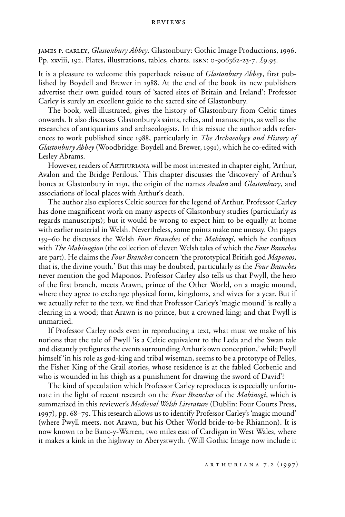## **REVIEWS**

james p. carley, *Glastonbury Abbey*. Glastonbury: Gothic Image Productions, 1996. Pp. xxviii, 192. Plates, illustrations, tables, charts. ISBN: 0-906362-23-7. £9.95.

It is a pleasure to welcome this paperback reissue of *Glastonbury Abbey*, first published by Boydell and Brewer in 1988. At the end of the book its new publishers advertise their own guided tours of 'sacred sites of Britain and Ireland': Professor Carley is surely an excellent guide to the sacred site of Glastonbury.

The book, well-illustrated, gives the history of Glastonbury from Celtic times onwards. It also discusses Glastonbury's saints, relics, and manuscripts, as well as the researches of antiquarians and archaeologists. In this reissue the author adds references to work published since 1988, particularly in *The Archaeology and History of Glastonbury Abbey* (Woodbridge: Boydell and Brewer, 1991), which he co-edited with Lesley Abrams.

However, readers of Arthuriana will be most interested in chapter eight, 'Arthur, Avalon and the Bridge Perilous.' This chapter discusses the 'discovery' of Arthur's bones at Glastonbury in 1191, the origin of the names *Avalon* and *Glastonbury*, and associations of local places with Arthur's death.

The author also explores Celtic sources for the legend of Arthur. Professor Carley has done magnificent work on many aspects of Glastonbury studies (particularly as regards manuscripts); but it would be wrong to expect him to be equally at home with earlier material in Welsh. Nevertheless, some points make one uneasy. On pages 159–60 he discusses the Welsh *Four Branches* of the *Mabinogi*, which he confuses with *The Mabinogion* (the collection of eleven Welsh tales of which the *Four Branches* are part). He claims the *Four Branches* concern 'the prototypical British god *Maponos*, that is, the divine youth.' But this may be doubted, particularly as the *Four Branches* never mention the god Maponos. Professor Carley also tells us that Pwyll, the hero of the first branch, meets Arawn, prince of the Other World, on a magic mound, where they agree to exchange physical form, kingdoms, and wives for a year. But if we actually refer to the text, we find that Professor Carley's 'magic mound' is really a clearing in a wood; that Arawn is no prince, but a crowned king; and that Pwyll is unmarried.

If Professor Carley nods even in reproducing a text, what must we make of his notions that the tale of Pwyll 'is a Celtic equivalent to the Leda and the Swan tale and distantly prefigures the events surrounding Arthur's own conception,' while Pwyll himself 'in his role as god-king and tribal wiseman, seems to be a prototype of Pelles, the Fisher King of the Grail stories, whose residence is at the fabled Corbenic and who is wounded in his thigh as a punishment for drawing the sword of David'?

The kind of speculation which Professor Carley reproduces is especially unfortunate in the light of recent research on the *Four Branches* of the *Mabinogi*, which is summarized in this reviewer's *Medieval Welsh Literature* (Dublin: Four Courts Press, 1997), pp. 68–79. This research allows us to identify Professor Carley's 'magic mound' (where Pwyll meets, not Arawn, but his Other World bride-to-be Rhiannon). It is now known to be Banc-y-Warren, two miles east of Cardigan in West Wales, where it makes a kink in the highway to Aberystwyth. (Will Gothic Image now include it